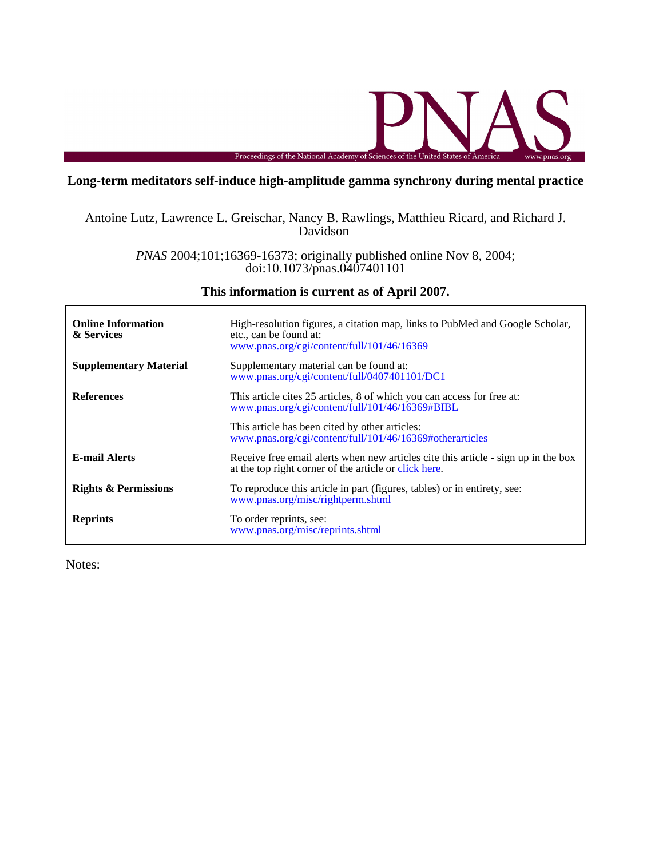

## **Long-term meditators self-induce high-amplitude gamma synchrony during mental practice**

Davidson Antoine Lutz, Lawrence L. Greischar, Nancy B. Rawlings, Matthieu Ricard, and Richard J.

> doi:10.1073/pnas.0407401101 *PNAS* 2004;101;16369-16373; originally published online Nov 8, 2004;

> > **This information is current as of April 2007.**

| <b>Online Information</b><br>& Services | High-resolution figures, a citation map, links to PubMed and Google Scholar,<br>etc., can be found at:<br>www.pnas.org/cgi/content/full/101/46/16369 |
|-----------------------------------------|------------------------------------------------------------------------------------------------------------------------------------------------------|
| <b>Supplementary Material</b>           | Supplementary material can be found at:<br>www.pnas.org/cgi/content/full/0407401101/DC1                                                              |
| <b>References</b>                       | This article cites 25 articles, 8 of which you can access for free at:<br>www.pnas.org/cgi/content/full/101/46/16369#BIBL                            |
|                                         | This article has been cited by other articles:<br>www.pnas.org/cgi/content/full/101/46/16369#otherarticles                                           |
| <b>E-mail Alerts</b>                    | Receive free email alerts when new articles cite this article - sign up in the box<br>at the top right corner of the article or click here.          |
| <b>Rights &amp; Permissions</b>         | To reproduce this article in part (figures, tables) or in entirety, see:<br>www.pnas.org/misc/rightperm.shtml                                        |
| <b>Reprints</b>                         | To order reprints, see:<br>www.pnas.org/misc/reprints.shtml                                                                                          |

Notes: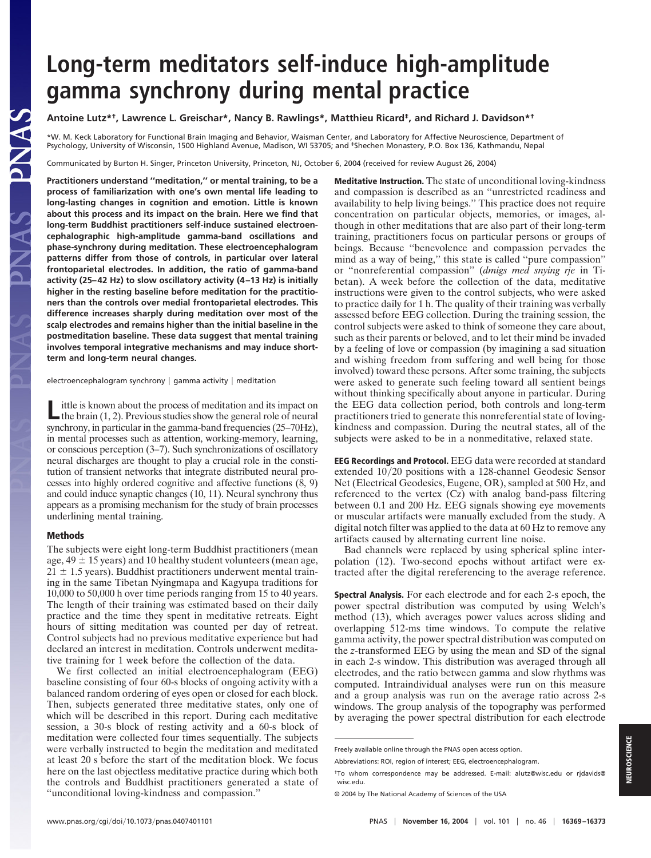# **Long-term meditators self-induce high-amplitude gamma synchrony during mental practice**

### **Antoine Lutz\*†, Lawrence L. Greischar\*, Nancy B. Rawlings\*, Matthieu Ricard‡, and Richard J. Davidson\*†**

\*W. M. Keck Laboratory for Functional Brain Imaging and Behavior, Waisman Center, and Laboratory for Affective Neuroscience, Department of Psychology, University of Wisconsin, 1500 Highland Avenue, Madison, WI 53705; and ‡Shechen Monastery, P.O. Box 136, Kathmandu, Nepal

Communicated by Burton H. Singer, Princeton University, Princeton, NJ, October 6, 2004 (received for review August 26, 2004)

**Practitioners understand ''meditation,'' or mental training, to be a process of familiarization with one's own mental life leading to long-lasting changes in cognition and emotion. Little is known about this process and its impact on the brain. Here we find that long-term Buddhist practitioners self-induce sustained electroencephalographic high-amplitude gamma-band oscillations and phase-synchrony during meditation. These electroencephalogram patterns differ from those of controls, in particular over lateral frontoparietal electrodes. In addition, the ratio of gamma-band activity (25–42 Hz) to slow oscillatory activity (4–13 Hz) is initially higher in the resting baseline before meditation for the practitioners than the controls over medial frontoparietal electrodes. This difference increases sharply during meditation over most of the scalp electrodes and remains higher than the initial baseline in the postmeditation baseline. These data suggest that mental training involves temporal integrative mechanisms and may induce shortterm and long-term neural changes.**

electroencephalogram synchrony  $|$  gamma activity  $|$  meditation

Little is known about the process of meditation and its impact on the brain (1, 2). Previous studies show the general role of neural synchrony, in particular in the gamma-band frequencies (25–70Hz), in mental processes such as attention, working-memory, learning, or conscious perception (3–7). Such synchronizations of oscillatory neural discharges are thought to play a crucial role in the constitution of transient networks that integrate distributed neural processes into highly ordered cognitive and affective functions (8, 9) and could induce synaptic changes (10, 11). Neural synchrony thus appears as a promising mechanism for the study of brain processes underlining mental training.

#### **Methods**

ノベスト

The subjects were eight long-term Buddhist practitioners (mean age,  $49 \pm 15$  years) and 10 healthy student volunteers (mean age,  $21 \pm 1.5$  years). Buddhist practitioners underwent mental training in the same Tibetan Nyingmapa and Kagyupa traditions for 10,000 to 50,000 h over time periods ranging from 15 to 40 years. The length of their training was estimated based on their daily practice and the time they spent in meditative retreats. Eight hours of sitting meditation was counted per day of retreat. Control subjects had no previous meditative experience but had declared an interest in meditation. Controls underwent meditative training for 1 week before the collection of the data.

We first collected an initial electroencephalogram (EEG) baseline consisting of four 60-s blocks of ongoing activity with a balanced random ordering of eyes open or closed for each block. Then, subjects generated three meditative states, only one of which will be described in this report. During each meditative session, a 30-s block of resting activity and a 60-s block of meditation were collected four times sequentially. The subjects were verbally instructed to begin the meditation and meditated at least 20 s before the start of the meditation block. We focus here on the last objectless meditative practice during which both the controls and Buddhist practitioners generated a state of ''unconditional loving-kindness and compassion.''

**Meditative Instruction.** The state of unconditional loving-kindness and compassion is described as an ''unrestricted readiness and availability to help living beings.'' This practice does not require concentration on particular objects, memories, or images, although in other meditations that are also part of their long-term training, practitioners focus on particular persons or groups of beings. Because ''benevolence and compassion pervades the mind as a way of being,'' this state is called ''pure compassion'' or ''nonreferential compassion'' (*dmigs med snying rje* in Tibetan). A week before the collection of the data, meditative instructions were given to the control subjects, who were asked to practice daily for 1 h. The quality of their training was verbally assessed before EEG collection. During the training session, the control subjects were asked to think of someone they care about, such as their parents or beloved, and to let their mind be invaded by a feeling of love or compassion (by imagining a sad situation and wishing freedom from suffering and well being for those involved) toward these persons. After some training, the subjects were asked to generate such feeling toward all sentient beings without thinking specifically about anyone in particular. During the EEG data collection period, both controls and long-term practitioners tried to generate this nonreferential state of lovingkindness and compassion. During the neutral states, all of the subjects were asked to be in a nonmeditative, relaxed state.

**EEG Recordings and Protocol.** EEG data were recorded at standard extended 10/20 positions with a 128-channel Geodesic Sensor Net (Electrical Geodesics, Eugene, OR), sampled at 500 Hz, and referenced to the vertex (Cz) with analog band-pass filtering between 0.1 and 200 Hz. EEG signals showing eye movements or muscular artifacts were manually excluded from the study. A digital notch filter was applied to the data at 60 Hz to remove any artifacts caused by alternating current line noise.

Bad channels were replaced by using spherical spline interpolation (12). Two-second epochs without artifact were extracted after the digital rereferencing to the average reference.

**Spectral Analysis.** For each electrode and for each 2-s epoch, the power spectral distribution was computed by using Welch's method (13), which averages power values across sliding and overlapping 512-ms time windows. To compute the relative gamma activity, the power spectral distribution was computed on the *z*-transformed EEG by using the mean and SD of the signal in each 2-s window. This distribution was averaged through all electrodes, and the ratio between gamma and slow rhythms was computed. Intraindividual analyses were run on this measure and a group analysis was run on the average ratio across 2-s windows. The group analysis of the topography was performed by averaging the power spectral distribution for each electrode

Freely available online through the PNAS open access option.

Abbreviations: ROI, region of interest; EEG, electroencephalogram.

<sup>†</sup>To whom correspondence may be addressed. E-mail: alutz@wisc.edu or rjdavids@ wisc.edu.

<sup>© 2004</sup> by The National Academy of Sciences of the USA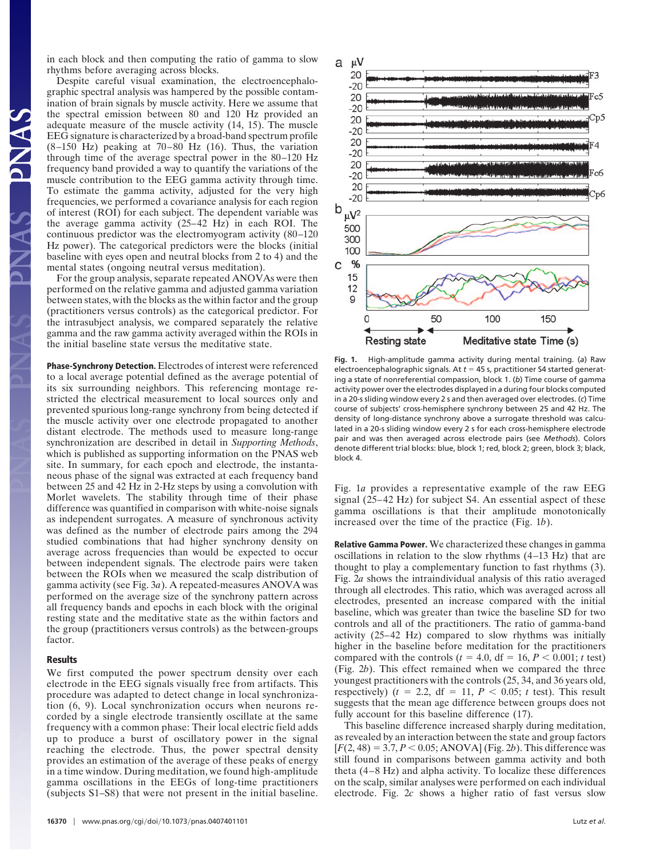in each block and then computing the ratio of gamma to slow rhythms before averaging across blocks.

Despite careful visual examination, the electroencephalographic spectral analysis was hampered by the possible contamination of brain signals by muscle activity. Here we assume that the spectral emission between 80 and 120 Hz provided an adequate measure of the muscle activity (14, 15). The muscle EEG signature is characterized by a broad-band spectrum profile (8–150 Hz) peaking at 70–80 Hz (16). Thus, the variation through time of the average spectral power in the 80–120 Hz frequency band provided a way to quantify the variations of the muscle contribution to the EEG gamma activity through time. To estimate the gamma activity, adjusted for the very high frequencies, we performed a covariance analysis for each region of interest (ROI) for each subject. The dependent variable was the average gamma activity (25–42 Hz) in each ROI. The continuous predictor was the electromyogram activity (80–120 Hz power). The categorical predictors were the blocks (initial baseline with eyes open and neutral blocks from 2 to 4) and the mental states (ongoing neutral versus meditation).

For the group analysis, separate repeated ANOVAs were then performed on the relative gamma and adjusted gamma variation between states, with the blocks as the within factor and the group (practitioners versus controls) as the categorical predictor. For the intrasubject analysis, we compared separately the relative gamma and the raw gamma activity averaged within the ROIs in the initial baseline state versus the meditative state.

**Phase-Synchrony Detection.** Electrodes of interest were referenced to a local average potential defined as the average potential of its six surrounding neighbors. This referencing montage restricted the electrical measurement to local sources only and prevented spurious long-range synchrony from being detected if the muscle activity over one electrode propagated to another distant electrode. The methods used to measure long-range synchronization are described in detail in *Supporting Methods*, which is published as supporting information on the PNAS web site. In summary, for each epoch and electrode, the instantaneous phase of the signal was extracted at each frequency band between 25 and 42 Hz in 2-Hz steps by using a convolution with Morlet wavelets. The stability through time of their phase difference was quantified in comparison with white-noise signals as independent surrogates. A measure of synchronous activity was defined as the number of electrode pairs among the 294 studied combinations that had higher synchrony density on average across frequencies than would be expected to occur between independent signals. The electrode pairs were taken between the ROIs when we measured the scalp distribution of gamma activity (see Fig. 3*a*). A repeated-measures ANOVA was performed on the average size of the synchrony pattern across all frequency bands and epochs in each block with the original resting state and the meditative state as the within factors and the group (practitioners versus controls) as the between-groups factor.

#### **Results**

We first computed the power spectrum density over each electrode in the EEG signals visually free from artifacts. This procedure was adapted to detect change in local synchronization (6, 9). Local synchronization occurs when neurons recorded by a single electrode transiently oscillate at the same frequency with a common phase: Their local electric field adds up to produce a burst of oscillatory power in the signal reaching the electrode. Thus, the power spectral density provides an estimation of the average of these peaks of energy in a time window. During meditation, we found high-amplitude gamma oscillations in the EEGs of long-time practitioners (subjects S1–S8) that were not present in the initial baseline.



**Fig. 1.** High-amplitude gamma activity during mental training. (*a*) Raw  $electroencephalographic signals.$  At  $t = 45$  s, practitioner S4 started generating a state of nonreferential compassion, block 1. (*b*) Time course of gamma activity power over the electrodes displayed in *a* during four blocks computed in a 20-s sliding window every 2 s and then averaged over electrodes. (*c*) Time course of subjects' cross-hemisphere synchrony between 25 and 42 Hz. The density of long-distance synchrony above a surrogate threshold was calculated in a 20-s sliding window every 2 s for each cross-hemisphere electrode pair and was then averaged across electrode pairs (see *Methods*). Colors denote different trial blocks: blue, block 1; red, block 2; green, block 3; black, block 4.

Fig. 1*a* provides a representative example of the raw EEG signal (25–42 Hz) for subject S4. An essential aspect of these gamma oscillations is that their amplitude monotonically increased over the time of the practice (Fig. 1*b*).

**Relative Gamma Power.** We characterized these changes in gamma oscillations in relation to the slow rhythms (4–13 Hz) that are thought to play a complementary function to fast rhythms (3). Fig. 2*a* shows the intraindividual analysis of this ratio averaged through all electrodes. This ratio, which was averaged across all electrodes, presented an increase compared with the initial baseline, which was greater than twice the baseline SD for two controls and all of the practitioners. The ratio of gamma-band activity (25–42 Hz) compared to slow rhythms was initially higher in the baseline before meditation for the practitioners compared with the controls  $(t = 4.0, df = 16, P < 0.001; t \text{ test})$ (Fig. 2*b*). This effect remained when we compared the three youngest practitioners with the controls (25, 34, and 36 years old, respectively)  $(t = 2.2, df = 11, P < 0.05; t \text{ test})$ . This result suggests that the mean age difference between groups does not fully account for this baseline difference (17).

This baseline difference increased sharply during meditation, as revealed by an interaction between the state and group factors  $[F(2, 48) = 3.7, P < 0.05; ANOVA]$  (Fig. 2*b*). This difference was still found in comparisons between gamma activity and both theta (4–8 Hz) and alpha activity. To localize these differences on the scalp, similar analyses were performed on each individual electrode. Fig. 2*c* shows a higher ratio of fast versus slow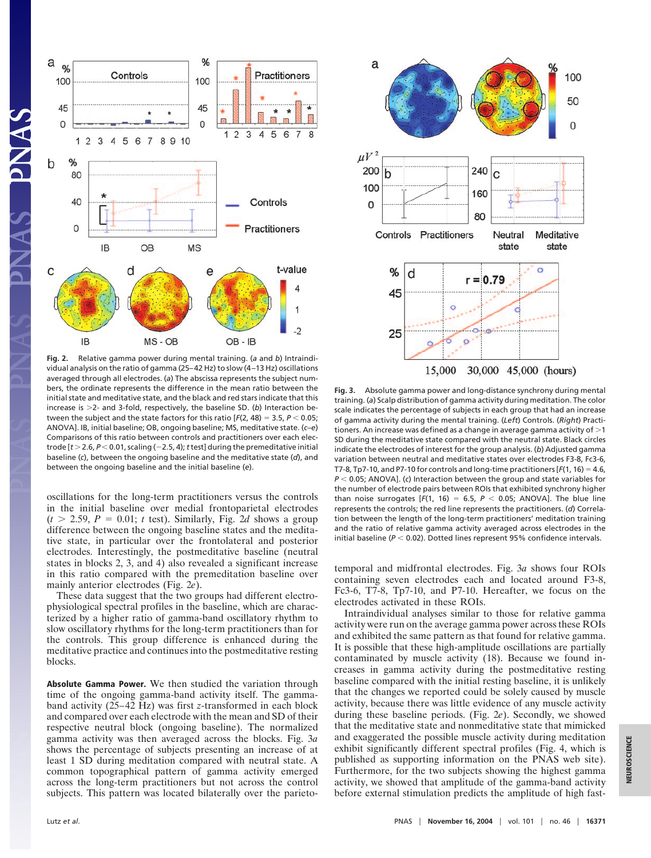

**Fig. 2.** Relative gamma power during mental training. (*a* and *b*) Intraindividual analysis on the ratio of gamma (25–42 Hz) to slow (4–13 Hz) oscillations averaged through all electrodes. (*a*) The abscissa represents the subject numbers, the ordinate represents the difference in the mean ratio between the initial state and meditative state, and the black and red stars indicate that this increase is  $>$ 2- and 3-fold, respectively, the baseline SD. (b) Interaction between the subject and the state factors for this ratio  $[F(2, 48) = 3.5, P < 0.05;$ ANOVA]. IB, initial baseline; OB, ongoing baseline; MS, meditative state. (*c*–*e*) Comparisons of this ratio between controls and practitioners over each electrode  $[t > 2.6, P < 0.01$ , scaling (-2.5, 4); *t* test] during the premeditative initial baseline (*c*), between the ongoing baseline and the meditative state (*d*), and between the ongoing baseline and the initial baseline (*e*).

oscillations for the long-term practitioners versus the controls in the initial baseline over medial frontoparietal electrodes  $(t > 2.59, P = 0.01; t \text{ test})$ . Similarly, Fig. 2d shows a group difference between the ongoing baseline states and the meditative state, in particular over the frontolateral and posterior electrodes. Interestingly, the postmeditative baseline (neutral states in blocks 2, 3, and 4) also revealed a significant increase in this ratio compared with the premeditation baseline over mainly anterior electrodes (Fig. 2*e*).

These data suggest that the two groups had different electrophysiological spectral profiles in the baseline, which are characterized by a higher ratio of gamma-band oscillatory rhythm to slow oscillatory rhythms for the long-term practitioners than for the controls. This group difference is enhanced during the meditative practice and continues into the postmeditative resting blocks.

**Absolute Gamma Power.** We then studied the variation through time of the ongoing gamma-band activity itself. The gammaband activity (25–42 Hz) was first *z*-transformed in each block and compared over each electrode with the mean and SD of their respective neutral block (ongoing baseline). The normalized gamma activity was then averaged across the blocks. Fig. 3*a* shows the percentage of subjects presenting an increase of at least 1 SD during meditation compared with neutral state. A common topographical pattern of gamma activity emerged across the long-term practitioners but not across the control subjects. This pattern was located bilaterally over the parieto-



**Fig. 3.** Absolute gamma power and long-distance synchrony during mental training. (*a*) Scalp distribution of gamma activity during meditation. The color scale indicates the percentage of subjects in each group that had an increase of gamma activity during the mental training. (*Left*) Controls. (*Right*) Practitioners. An increase was defined as a change in average gamma activity of  $>1$ SD during the meditative state compared with the neutral state. Black circles indicate the electrodes of interest for the group analysis. (*b*) Adjusted gamma variation between neutral and meditative states over electrodes F3-8, Fc3-6, T7-8, Tp7-10, and P7-10 for controls and long-time practitioners [ $F(1, 16) = 4.6$ , *P* < 0.05; ANOVA]. (*c*) Interaction between the group and state variables for the number of electrode pairs between ROIs that exhibited synchrony higher than noise surrogates [ $F(1, 16) = 6.5$ ,  $P < 0.05$ ; ANOVA]. The blue line represents the controls; the red line represents the practitioners. (*d*) Correlation between the length of the long-term practitioners' meditation training and the ratio of relative gamma activity averaged across electrodes in the initial baseline ( $P < 0.02$ ). Dotted lines represent 95% confidence intervals.

temporal and midfrontal electrodes. Fig. 3*a* shows four ROIs containing seven electrodes each and located around F3-8, Fc3-6, T7-8, Tp7-10, and P7-10. Hereafter, we focus on the electrodes activated in these ROIs.

Intraindividual analyses similar to those for relative gamma activity were run on the average gamma power across these ROIs and exhibited the same pattern as that found for relative gamma. It is possible that these high-amplitude oscillations are partially contaminated by muscle activity (18). Because we found increases in gamma activity during the postmeditative resting baseline compared with the initial resting baseline, it is unlikely that the changes we reported could be solely caused by muscle activity, because there was little evidence of any muscle activity during these baseline periods. (Fig. 2*e*). Secondly, we showed that the meditative state and nonmeditative state that mimicked and exaggerated the possible muscle activity during meditation exhibit significantly different spectral profiles (Fig. 4, which is published as supporting information on the PNAS web site). Furthermore, for the two subjects showing the highest gamma activity, we showed that amplitude of the gamma-band activity before external stimulation predicts the amplitude of high fast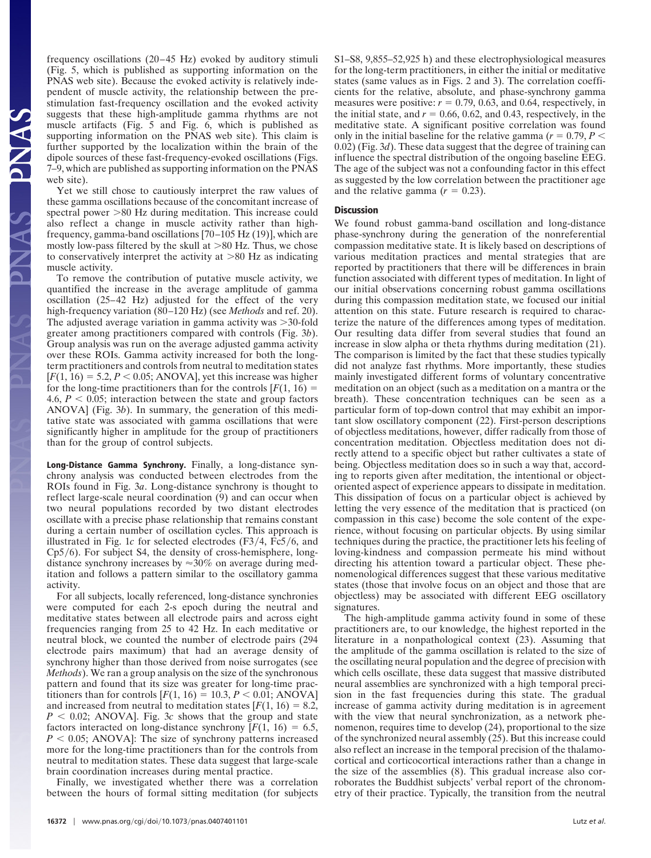frequency oscillations (20–45 Hz) evoked by auditory stimuli (Fig. 5, which is published as supporting information on the PNAS web site). Because the evoked activity is relatively independent of muscle activity, the relationship between the prestimulation fast-frequency oscillation and the evoked activity suggests that these high-amplitude gamma rhythms are not muscle artifacts (Fig. 5 and Fig. 6, which is published as supporting information on the PNAS web site). This claim is further supported by the localization within the brain of the dipole sources of these fast-frequency-evoked oscillations (Figs. 7–9, which are published as supporting information on the PNAS web site).

ANA.

Yet we still chose to cautiously interpret the raw values of these gamma oscillations because of the concomitant increase of spectral power  $>80$  Hz during meditation. This increase could also reflect a change in muscle activity rather than highfrequency, gamma-band oscillations [70–105 Hz (19)], which are mostly low-pass filtered by the skull at  $>80$  Hz. Thus, we chose to conservatively interpret the activity at  $>80$  Hz as indicating muscle activity.

To remove the contribution of putative muscle activity, we quantified the increase in the average amplitude of gamma oscillation (25–42 Hz) adjusted for the effect of the very high-frequency variation (80–120 Hz) (see *Methods* and ref. 20). The adjusted average variation in gamma activity was  $>$ 30-fold greater among practitioners compared with controls (Fig. 3*b*). Group analysis was run on the average adjusted gamma activity over these ROIs. Gamma activity increased for both the longterm practitioners and controls from neutral to meditation states  $[F(1, 16) = 5.2, P < 0.05; ANOVA]$ , yet this increase was higher for the long-time practitioners than for the controls  $[F(1, 16) =$ 4.6,  $P < 0.05$ ; interaction between the state and group factors ANOVA] (Fig. 3*b*). In summary, the generation of this meditative state was associated with gamma oscillations that were significantly higher in amplitude for the group of practitioners than for the group of control subjects.

**Long-Distance Gamma Synchrony.** Finally, a long-distance synchrony analysis was conducted between electrodes from the ROIs found in Fig. 3*a*. Long-distance synchrony is thought to reflect large-scale neural coordination (9) and can occur when two neural populations recorded by two distant electrodes oscillate with a precise phase relationship that remains constant during a certain number of oscillation cycles. This approach is illustrated in Fig. 1 $c$  for selected electrodes  $(F3/4, Fc5/6, and$ Cp5/6). For subject S4, the density of cross-hemisphere, longdistance synchrony increases by  $\approx 30\%$  on average during meditation and follows a pattern similar to the oscillatory gamma activity.

For all subjects, locally referenced, long-distance synchronies were computed for each 2-s epoch during the neutral and meditative states between all electrode pairs and across eight frequencies ranging from 25 to 42 Hz. In each meditative or neutral block, we counted the number of electrode pairs (294 electrode pairs maximum) that had an average density of synchrony higher than those derived from noise surrogates (see *Methods*). We ran a group analysis on the size of the synchronous pattern and found that its size was greater for long-time practitioners than for controls  $[F(1, 16) = 10.3, P < 0.01; ANOVA]$ and increased from neutral to meditation states  $[F(1, 16) = 8.2]$ ,  $P \leq 0.02$ ; ANOVA]. Fig. 3*c* shows that the group and state factors interacted on long-distance synchrony  $[F(1, 16) = 6.5,$  $P < 0.05$ ; ANOVA]: The size of synchrony patterns increased more for the long-time practitioners than for the controls from neutral to meditation states. These data suggest that large-scale brain coordination increases during mental practice.

Finally, we investigated whether there was a correlation between the hours of formal sitting meditation (for subjects S1–S8, 9,855–52,925 h) and these electrophysiological measures for the long-term practitioners, in either the initial or meditative states (same values as in Figs. 2 and 3). The correlation coefficients for the relative, absolute, and phase-synchrony gamma measures were positive:  $r = 0.79, 0.63,$  and 0.64, respectively, in the initial state, and  $r = 0.66, 0.62,$  and 0.43, respectively, in the meditative state. A significant positive correlation was found only in the initial baseline for the relative gamma ( $r = 0.79, P <$ 0.02) (Fig. 3*d*). These data suggest that the degree of training can influence the spectral distribution of the ongoing baseline EEG. The age of the subject was not a confounding factor in this effect as suggested by the low correlation between the practitioner age and the relative gamma  $(r = 0.23)$ .

#### **Discussion**

We found robust gamma-band oscillation and long-distance phase-synchrony during the generation of the nonreferential compassion meditative state. It is likely based on descriptions of various meditation practices and mental strategies that are reported by practitioners that there will be differences in brain function associated with different types of meditation. In light of our initial observations concerning robust gamma oscillations during this compassion meditation state, we focused our initial attention on this state. Future research is required to characterize the nature of the differences among types of meditation. Our resulting data differ from several studies that found an increase in slow alpha or theta rhythms during meditation (21). The comparison is limited by the fact that these studies typically did not analyze fast rhythms. More importantly, these studies mainly investigated different forms of voluntary concentrative meditation on an object (such as a meditation on a mantra or the breath). These concentration techniques can be seen as a particular form of top-down control that may exhibit an important slow oscillatory component (22). First-person descriptions of objectless meditations, however, differ radically from those of concentration meditation. Objectless meditation does not directly attend to a specific object but rather cultivates a state of being. Objectless meditation does so in such a way that, according to reports given after meditation, the intentional or objectoriented aspect of experience appears to dissipate in meditation. This dissipation of focus on a particular object is achieved by letting the very essence of the meditation that is practiced (on compassion in this case) become the sole content of the experience, without focusing on particular objects. By using similar techniques during the practice, the practitioner lets his feeling of loving-kindness and compassion permeate his mind without directing his attention toward a particular object. These phenomenological differences suggest that these various meditative states (those that involve focus on an object and those that are objectless) may be associated with different EEG oscillatory signatures.

The high-amplitude gamma activity found in some of these practitioners are, to our knowledge, the highest reported in the literature in a nonpathological context (23). Assuming that the amplitude of the gamma oscillation is related to the size of the oscillating neural population and the degree of precision with which cells oscillate, these data suggest that massive distributed neural assemblies are synchronized with a high temporal precision in the fast frequencies during this state. The gradual increase of gamma activity during meditation is in agreement with the view that neural synchronization, as a network phenomenon, requires time to develop (24), proportional to the size of the synchronized neural assembly (25). But this increase could also reflect an increase in the temporal precision of the thalamocortical and corticocortical interactions rather than a change in the size of the assemblies (8). This gradual increase also corroborates the Buddhist subjects' verbal report of the chronometry of their practice. Typically, the transition from the neutral